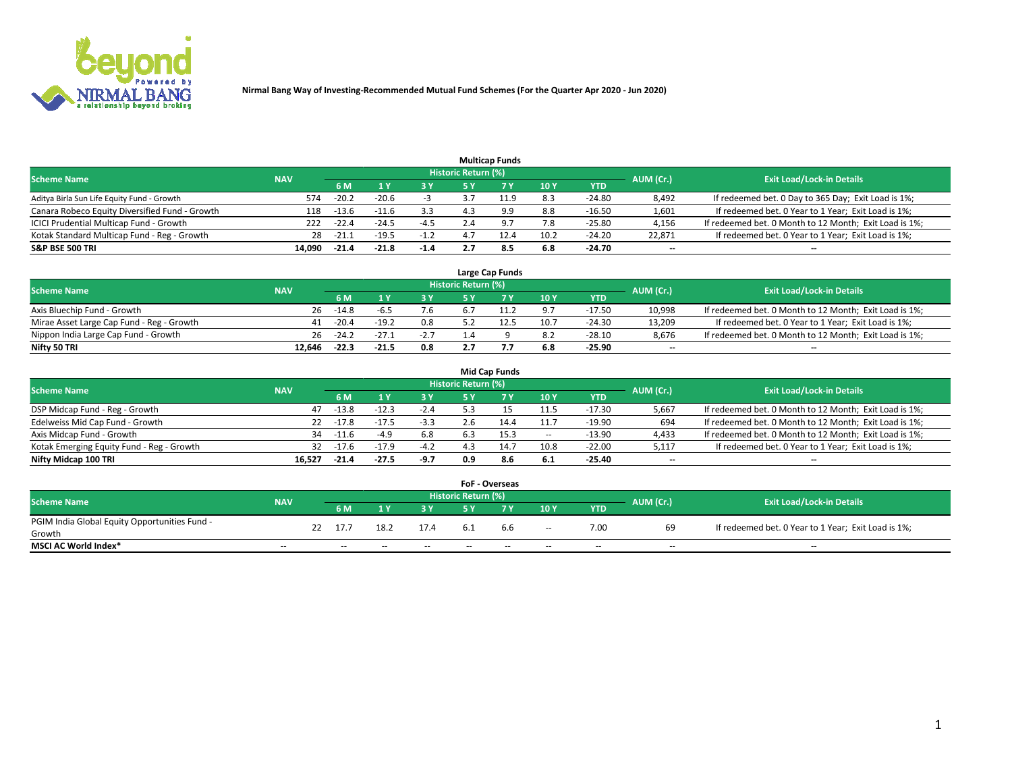

|                                                |            |         |         |        |                     | <b>Multicap Funds</b> |      |          |                          |                                                        |
|------------------------------------------------|------------|---------|---------|--------|---------------------|-----------------------|------|----------|--------------------------|--------------------------------------------------------|
| <b>Scheme Name</b>                             | <b>NAV</b> |         |         |        | Historic Return (%) |                       |      |          | AUM (Cr.)                | <b>Exit Load/Lock-in Details</b>                       |
|                                                |            | 6 M     |         | 3 Y    | 5 Y                 |                       | 10Y  | YTD      |                          |                                                        |
| Aditya Birla Sun Life Equity Fund - Growth     | 574        | $-20.2$ | $-20.6$ |        |                     | 11.9                  | 8.3  | $-24.80$ | 8,492                    | If redeemed bet. 0 Day to 365 Day; Exit Load is 1%;    |
| Canara Robeco Equity Diversified Fund - Growth | 118        | $-13.6$ | $-11.6$ | 3.3    | 4.3                 | 9.9                   | 8.8  | $-16.50$ | 1,601                    | If redeemed bet. 0 Year to 1 Year; Exit Load is 1%;    |
| ICICI Prudential Multicap Fund - Growth        | 222        | $-22.4$ | $-24.5$ | $-4.5$ | Z.4                 | 9.7                   | 7.8  | $-25.80$ | 4,156                    | If redeemed bet. 0 Month to 12 Month; Exit Load is 1%; |
| Kotak Standard Multicap Fund - Reg - Growth    | 28         | $-21.$  | $-19.5$ | $-1.2$ |                     |                       | 10.2 | $-24.20$ | 22.871                   | If redeemed bet. 0 Year to 1 Year; Exit Load is 1%;    |
| <b>S&amp;P BSE 500 TRI</b>                     | 14.090     | $-21.4$ | $-21.8$ | $-1.4$ | 2.7                 | 8.5                   | 6.8  | -24.70   | $\overline{\phantom{a}}$ | --                                                     |

|                                           |            |         |         |        |                     | Large Cap Funds |      |            |           |                                                        |
|-------------------------------------------|------------|---------|---------|--------|---------------------|-----------------|------|------------|-----------|--------------------------------------------------------|
| <b>Scheme Name</b>                        | <b>NAV</b> |         |         |        | Historic Return (%) |                 |      |            | AUM (Cr.) | <b>Exit Load/Lock-in Details</b>                       |
|                                           |            | 6 M     |         | 3 Y.   | 5 ٧                 |                 | 10Y  | <b>YTD</b> |           |                                                        |
| Axis Bluechip Fund - Growth               | 26         | $-14.8$ | -b.5    | 7.6    |                     | 11.2            | 9.7  | $-17.50$   | 10,998    | If redeemed bet. 0 Month to 12 Month; Exit Load is 1%; |
| Mirae Asset Large Cap Fund - Reg - Growth | 41         | $-20.4$ | $-19.2$ | 0.8    |                     | 12.5            | 10.7 | $-24.30$   | 13.209    | If redeemed bet. 0 Year to 1 Year; Exit Load is 1%;    |
| Nippon India Large Cap Fund - Growth      | 26         | $-24.2$ | $-27.1$ | $-2.7$ |                     |                 | 8.2  | $-28.10$   | 8.676     | If redeemed bet. 0 Month to 12 Month; Exit Load is 1%; |
| Nifty 50 TRI                              | 12.646     | $-22.3$ | $-21.5$ | 0.8    |                     |                 | 6.8  | $-25.90$   | $- -$     | $\overline{\phantom{a}}$                               |

|                                           |            |         |         |        |                            | <b>Mid Cap Funds</b> |       |            |                          |                                                        |
|-------------------------------------------|------------|---------|---------|--------|----------------------------|----------------------|-------|------------|--------------------------|--------------------------------------------------------|
| <b>Scheme Name</b>                        | <b>NAV</b> |         |         |        | <b>Historic Return (%)</b> |                      |       |            | AUM (Cr.)                | <b>Exit Load/Lock-in Details</b>                       |
|                                           |            | 6 M     |         | 3 Y    | 5 Y                        |                      | 10 Y  | <b>YTD</b> |                          |                                                        |
| DSP Midcap Fund - Reg - Growth            | 47         | $-13.8$ | $-12.3$ | $-2.4$ |                            |                      | 11.5  | $-17.30$   | 5,667                    | If redeemed bet. 0 Month to 12 Month; Exit Load is 1%; |
| Edelweiss Mid Cap Fund - Growth           | 22         | $-17.8$ | $-17.5$ | $-3.3$ |                            | 14.4                 | 11.7  | $-19.90$   | 694                      | If redeemed bet. 0 Month to 12 Month; Exit Load is 1%; |
| Axis Midcap Fund - Growth                 | 34         | $-11.6$ | $-4.9$  | 6.8    | 6.3                        | 15.3                 | $\!-$ | $-13.90$   | 4,433                    | If redeemed bet. 0 Month to 12 Month; Exit Load is 1%; |
| Kotak Emerging Equity Fund - Reg - Growth | 32         | $-17.6$ | $-17.9$ | $-4.2$ |                            | 14.7                 | 10.8  | $-22.00$   | 5,117                    | If redeemed bet. 0 Year to 1 Year; Exit Load is 1%;    |
| Nifty Midcap 100 TRI                      | 16.527     | $-21.4$ | $-27.5$ | $-9.7$ | 0.9                        | 8.6                  | 6.1   | -25.40     | $\overline{\phantom{m}}$ | $- -$                                                  |

|                                               |                          |    |        |       |       |                            | <b>FoF - Overseas</b> |                          |            |                          |                                                     |
|-----------------------------------------------|--------------------------|----|--------|-------|-------|----------------------------|-----------------------|--------------------------|------------|--------------------------|-----------------------------------------------------|
| <b>Scheme Name</b>                            | <b>NAV</b>               |    |        |       |       | <b>Historic Return (%)</b> |                       |                          |            | AUM (Cr.)                | <b>Exit Load/Lock-in Details</b>                    |
|                                               |                          |    | 6 M    |       | 2 V.  | E V                        |                       | 10Y                      | <b>YTD</b> |                          |                                                     |
| PGIM India Global Equity Opportunities Fund - |                          | 22 | 17.7   | 18.2  | 17.4  | 6.1                        | 6.6                   |                          | 7.00       | 69                       | If redeemed bet. 0 Year to 1 Year; Exit Load is 1%; |
| Growth                                        |                          |    |        |       |       |                            |                       | $\overline{\phantom{a}}$ |            |                          |                                                     |
| <b>MSCI AC World Index*</b>                   | $\overline{\phantom{a}}$ |    | $\sim$ | $- -$ | $- -$ | $\sim$                     | $- -$                 | $\overline{\phantom{a}}$ | $\sim$     | $\overline{\phantom{m}}$ | $\sim$                                              |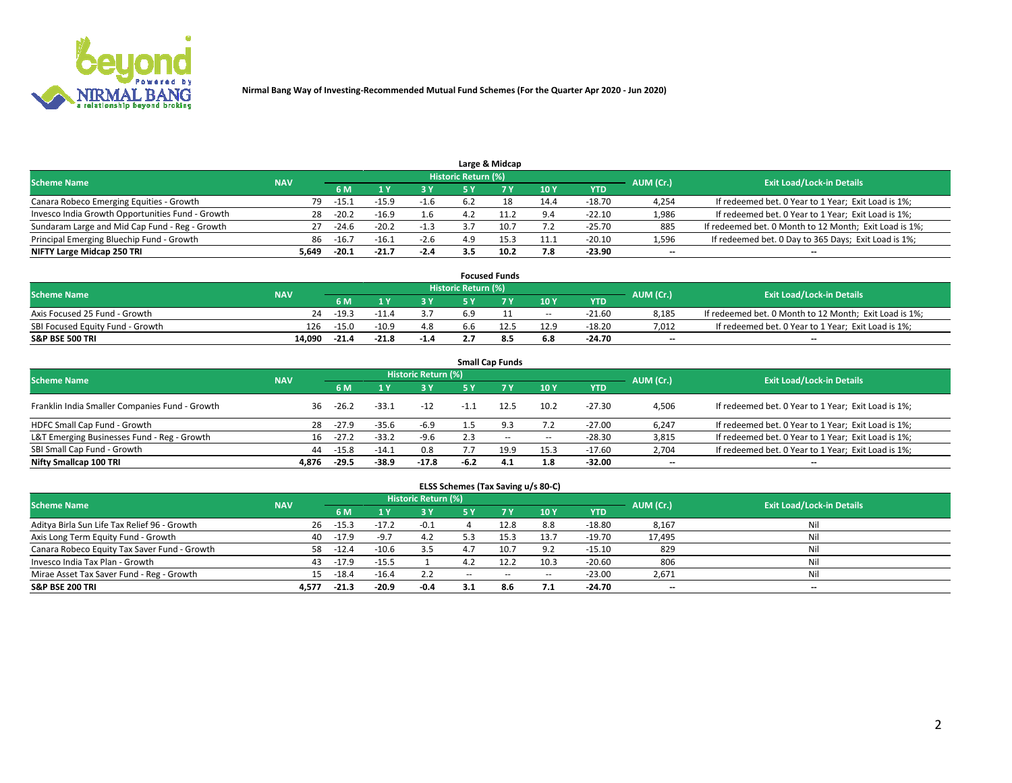

|                                                  |            |         |         |        |                     | Large & Midcap |      |            |           |                                                        |
|--------------------------------------------------|------------|---------|---------|--------|---------------------|----------------|------|------------|-----------|--------------------------------------------------------|
| <b>Scheme Name</b>                               | <b>NAV</b> |         |         |        | Historic Return (%) |                |      |            | AUM (Cr.) | <b>Exit Load/Lock-in Details</b>                       |
|                                                  |            | 6 M     |         | 3 Y    | 5٧                  |                | 10Y  | <b>YTD</b> |           |                                                        |
| Canara Robeco Emerging Equities - Growth         | 79         | $-15.2$ | $-15.9$ | -1.6   | 6.2                 |                | 14.4 | $-18.70$   | 4,254     | If redeemed bet. 0 Year to 1 Year; Exit Load is 1%;    |
| Invesco India Growth Opportunities Fund - Growth | 28         | $-20.2$ | $-16.9$ | 1.6    |                     |                | 9.4  | $-22.10$   | 1,986     | If redeemed bet. 0 Year to 1 Year; Exit Load is 1%;    |
| Sundaram Large and Mid Cap Fund - Reg - Growth   | 27         | -24.6   | $-20.2$ | $-1.3$ |                     |                |      | $-25.70$   | 885       | If redeemed bet. 0 Month to 12 Month; Exit Load is 1%; |
| Principal Emerging Bluechip Fund - Growth        | 86         | $-16.7$ | $-16.1$ | $-2.6$ | 4.9                 |                | 11.1 | $-20.10$   | 1,596     | If redeemed bet. 0 Day to 365 Days; Exit Load is 1%;   |
| NIFTY Large Midcap 250 TRI                       | 5.649      | $-20.1$ | $-21.7$ | $-2.4$ | 3.5                 | 10.2           | 7.8  | -23.90     | $-$       | --                                                     |

|                                  |            |         |         |        |                     | <b>Focused Funds</b> |        |            |           |                                                        |
|----------------------------------|------------|---------|---------|--------|---------------------|----------------------|--------|------------|-----------|--------------------------------------------------------|
| <b>Scheme Name</b>               | <b>NAV</b> |         |         |        | Historic Return (%) |                      |        |            | AUM (Cr.) | <b>Exit Load/Lock-in Details</b>                       |
|                                  |            | 6 M     |         |        |                     |                      | 10Y    | <b>YTD</b> |           |                                                        |
| Axis Focused 25 Fund - Growth    | 24         | $-19.3$ | $-11.4$ |        | 6.9                 |                      | $\sim$ | $-21.60$   | 8.185     | If redeemed bet. 0 Month to 12 Month; Exit Load is 1%; |
| SBI Focused Equity Fund - Growth | 126        | $-15.0$ | $-10.9$ | 4.8    | b.b                 |                      | 12.9   | $-18.20$   | 7.012     | If redeemed bet. 0 Year to 1 Year; Exit Load is 1%;    |
| <b>S&amp;P BSE 500 TRI</b>       | 14.090     | $-21.4$ | $-21.8$ | $-1.4$ |                     | -8.5                 | 6.8    | $-24.70$   | $- -$     | $\overline{\phantom{a}}$                               |

| <b>Small Cap Funds</b>                         |            |                                  |         |         |        |           |       |            |                          |                                                     |  |  |  |
|------------------------------------------------|------------|----------------------------------|---------|---------|--------|-----------|-------|------------|--------------------------|-----------------------------------------------------|--|--|--|
| <b>Scheme Name</b>                             | AUM (Cr.)  | <b>Exit Load/Lock-in Details</b> |         |         |        |           |       |            |                          |                                                     |  |  |  |
|                                                | <b>NAV</b> | 6 M                              |         | 3 Y     | 5 Y    | <b>7Y</b> | 10Y   | <b>YTD</b> |                          |                                                     |  |  |  |
| Franklin India Smaller Companies Fund - Growth | 36         | $-26.2$                          | $-33.1$ | $-12$   |        | 12.5      | 10.2  | $-27.30$   | 4,506                    | If redeemed bet. 0 Year to 1 Year; Exit Load is 1%; |  |  |  |
| HDFC Small Cap Fund - Growth                   | 28         | $-27.9$                          | $-35.6$ | $-6.9$  |        |           | 7.2   | $-27.00$   | 6,247                    | If redeemed bet. 0 Year to 1 Year; Exit Load is 1%; |  |  |  |
| L&T Emerging Businesses Fund - Reg - Growth    | 16         | $-27.2$                          | $-33.2$ | $-9.6$  | 2.3    | $- -$     | $\!-$ | $-28.30$   | 3,815                    | If redeemed bet. 0 Year to 1 Year; Exit Load is 1%; |  |  |  |
| SBI Small Cap Fund - Growth                    | 44         | $-15.8$                          | $-14.1$ | 0.8     |        | 19.9      | 15.3  | $-17.60$   | 2,704                    | If redeemed bet. 0 Year to 1 Year; Exit Load is 1%; |  |  |  |
| Nifty Smallcap 100 TRI                         | 4.876      | $-29.5$                          | $-38.9$ | $-17.8$ | $-6.2$ | 4.1       | 1.8   | -32.00     | $\overline{\phantom{a}}$ | --                                                  |  |  |  |

## **ELSS Schemes (Tax Saving u/s 80-C)**

| <b>Scheme Name</b>                           | <b>NAV</b> |         |         | <b>Historic Return (%)</b> |       |       |        |            | AUM (Cr.) | <b>Exit Load/Lock-in Details</b> |
|----------------------------------------------|------------|---------|---------|----------------------------|-------|-------|--------|------------|-----------|----------------------------------|
|                                              |            | 6 M     |         | 3Y                         | 5 Y   |       | 10Y    | <b>YTD</b> |           |                                  |
| Aditya Birla Sun Life Tax Relief 96 - Growth | 26         | $-15.3$ | $-17.2$ | $-0.1$                     |       | 12.8  | 8.8    | $-18.80$   | 8,167     | Nil                              |
| Axis Long Term Equity Fund - Growth          | 40         | $-17.9$ | $-9.7$  | 4.2                        |       |       | 13.7   | $-19.70$   | 17,495    | Nil                              |
| Canara Robeco Equity Tax Saver Fund - Growth | 58         | $-12.4$ | $-10.6$ | 3.5                        |       |       | 9.2    | $-15.10$   | 829       | Nil                              |
| Invesco India Tax Plan - Growth              | 43         | $-17.9$ | $-15.5$ |                            |       | 12.2  | 10.3   | $-20.60$   | 806       | Nil                              |
| Mirae Asset Tax Saver Fund - Reg - Growth    | 15         | $-18.4$ | $-16.4$ | 2.2                        | $- -$ | $- -$ | $\sim$ | $-23.00$   | 2,671     | Nil                              |
| <b>S&amp;P BSE 200 TRI</b>                   | 4.577      | $-21.3$ | -20.9   | $-0.4$                     | 3.1   | 8.6   | 7.1    | $-24.70$   | $-$       | $-$                              |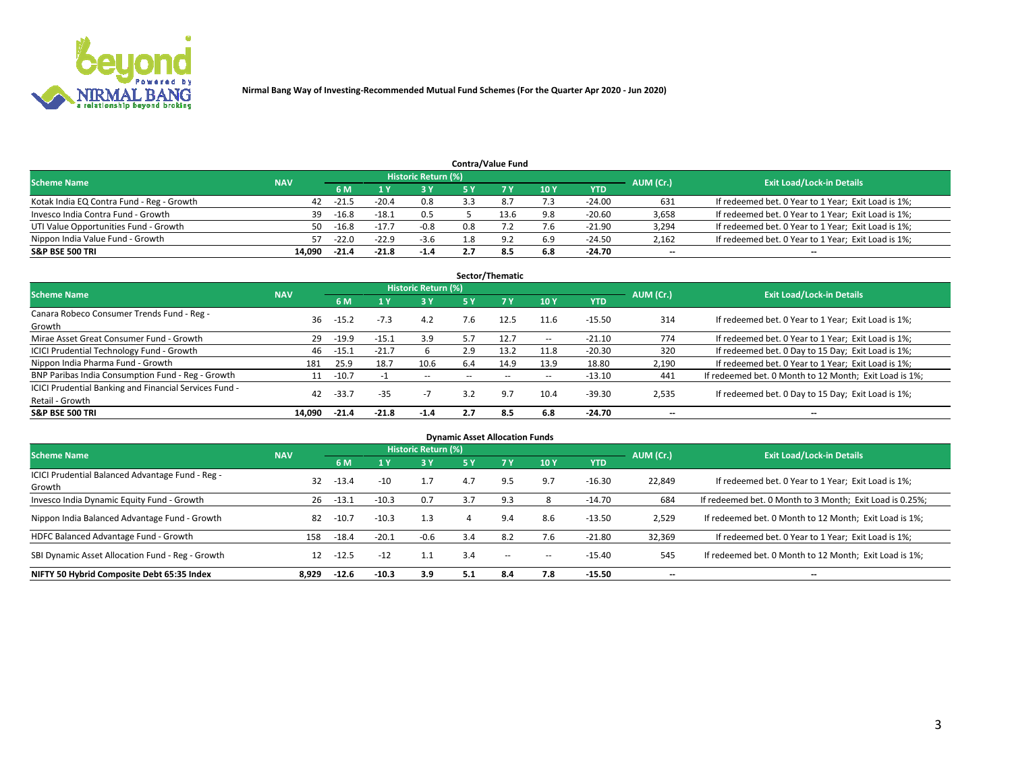

| <b>Contra/Value Fund</b>                  |            |                                  |         |        |      |     |     |            |       |                                                     |  |  |  |
|-------------------------------------------|------------|----------------------------------|---------|--------|------|-----|-----|------------|-------|-----------------------------------------------------|--|--|--|
| <b>Scheme Name</b>                        | AUM (Cr.)  | <b>Exit Load/Lock-in Details</b> |         |        |      |     |     |            |       |                                                     |  |  |  |
|                                           | <b>NAV</b> |                                  |         | 3 Y    |      |     | 10Y | <b>YTD</b> |       |                                                     |  |  |  |
| Kotak India EQ Contra Fund - Reg - Growth | 42         | $-21$                            | $-20.4$ | 0.8    | 3.3  | 8.7 | 7.3 | $-24.00$   | 631   | If redeemed bet. 0 Year to 1 Year; Exit Load is 1%; |  |  |  |
| Invesco India Contra Fund - Growth        | 39         | $-16.8$                          | $-18.1$ | 0.5    |      |     | 9.8 | $-20.60$   | 3,658 | If redeemed bet. 0 Year to 1 Year; Exit Load is 1%; |  |  |  |
| UTI Value Opportunities Fund - Growth     | 50.        | $-16.8$                          | $-17.$  | $-0.8$ | 0.8  |     | 7.6 | $-21.90$   | 3,294 | If redeemed bet. 0 Year to 1 Year; Exit Load is 1%; |  |  |  |
| Nippon India Value Fund - Growth          | 57         | $-22.0$                          | $-22.9$ | $-3.6$ | ـ 8. | Q)  | 6.9 | $-24.50$   | 2,162 | If redeemed bet. 0 Year to 1 Year; Exit Load is 1%; |  |  |  |
| <b>S&amp;P BSE 500 TRI</b>                | 14.090     | $-21.4$                          | $-21.8$ | $-1.4$ |      | 8.ప | 6.8 | $-24.70$   | $-$   | $\overline{\phantom{a}}$                            |  |  |  |

| Sector/Thematic                                                           |            |         |         |                     |                          |       |                          |          |                          |                                                        |  |  |  |
|---------------------------------------------------------------------------|------------|---------|---------|---------------------|--------------------------|-------|--------------------------|----------|--------------------------|--------------------------------------------------------|--|--|--|
| <b>Scheme Name</b>                                                        | <b>NAV</b> |         |         | Historic Return (%) |                          |       |                          |          | AUM (Cr.)                | <b>Exit Load/Lock-in Details</b>                       |  |  |  |
|                                                                           |            | 6 M     |         | <b>3Y</b>           | 5 Y                      | 7Y    | 10Y                      | YTD      |                          |                                                        |  |  |  |
| Canara Robeco Consumer Trends Fund - Reg -<br>Growth                      | 36         | $-15.2$ | $-7.3$  | 4.2                 | 7.6                      | 12.5  | 11.6                     | $-15.50$ | 314                      | If redeemed bet. 0 Year to 1 Year; Exit Load is 1%;    |  |  |  |
| Mirae Asset Great Consumer Fund - Growth                                  | 29         | $-19.9$ | $-15.1$ | 3.9                 | 5.7                      | 12.7  | $\overline{\phantom{a}}$ | $-21.10$ | 774                      | If redeemed bet. 0 Year to 1 Year; Exit Load is 1%;    |  |  |  |
| <b>ICICI Prudential Technology Fund - Growth</b>                          | 46         | $-15.1$ | $-21.7$ | b                   | 2.9                      | 13.2  | 11.8                     | $-20.30$ | 320                      | If redeemed bet. 0 Day to 15 Day; Exit Load is 1%;     |  |  |  |
| Nippon India Pharma Fund - Growth                                         | 181        | 25.9    | 18.7    | 10.6                | 6.4                      | 14.9  | 13.9                     | 18.80    | 2,190                    | If redeemed bet. 0 Year to 1 Year; Exit Load is 1%;    |  |  |  |
| BNP Paribas India Consumption Fund - Reg - Growth                         | 11         | $-10.7$ |         | $\sim$ $-$          | $\overline{\phantom{a}}$ | $- -$ | $\overline{\phantom{a}}$ | $-13.10$ | 441                      | If redeemed bet. 0 Month to 12 Month; Exit Load is 1%; |  |  |  |
| ICICI Prudential Banking and Financial Services Fund -<br>Retail - Growth | 42         | $-33.7$ | $-35$   | $-1$                | 3.2                      | 9.7   | 10.4                     | $-39.30$ | 2,535                    | If redeemed bet. 0 Day to 15 Day; Exit Load is 1%;     |  |  |  |
| <b>S&amp;P BSE 500 TRI</b>                                                | 14.090     | $-21.4$ | $-21.8$ | $-1.4$              | 2.7                      | 8.5   | 6.8                      | $-24.70$ | $\overline{\phantom{a}}$ | --                                                     |  |  |  |

| <b>Dynamic Asset Allocation Funds</b>                      |            |         |         |                            |     |           |     |            |           |                                                          |  |  |  |
|------------------------------------------------------------|------------|---------|---------|----------------------------|-----|-----------|-----|------------|-----------|----------------------------------------------------------|--|--|--|
| <b>Scheme Name</b>                                         | <b>NAV</b> |         |         | <b>Historic Return (%)</b> |     |           |     |            | AUM (Cr.) | <b>Exit Load/Lock-in Details</b>                         |  |  |  |
|                                                            |            | 6 M     |         | <b>3Y</b>                  | 5 Y | <b>7Y</b> | 10Y | <b>YTD</b> |           |                                                          |  |  |  |
| ICICI Prudential Balanced Advantage Fund - Reg -<br>Growth | 32         | $-13.4$ | $-10$   | 1.7                        | 4.7 | 9.5       | 9.7 | $-16.30$   | 22,849    | If redeemed bet. 0 Year to 1 Year; Exit Load is 1%;      |  |  |  |
| Invesco India Dynamic Equity Fund - Growth                 | 26         | $-13.1$ | $-10.3$ | 0.7                        | 3.7 | 9.3       |     | -14.70     | 684       | If redeemed bet. 0 Month to 3 Month; Exit Load is 0.25%; |  |  |  |
| Nippon India Balanced Advantage Fund - Growth              | 82         | $-10.7$ | $-10.3$ | 1.3                        |     | 9.4       | 8.6 | $-13.50$   | 2,529     | If redeemed bet. 0 Month to 12 Month; Exit Load is 1%;   |  |  |  |
| HDFC Balanced Advantage Fund - Growth                      | 158        | $-18.4$ | $-20.1$ | $-0.6$                     | 3.4 | 8.2       | 7.6 | $-21.80$   | 32,369    | If redeemed bet. 0 Year to 1 Year; Exit Load is 1%;      |  |  |  |
| SBI Dynamic Asset Allocation Fund - Reg - Growth           | 12         | $-12.5$ | $-12$   | 1.1                        | 3.4 | $\sim$    | -   | $-15.40$   | 545       | If redeemed bet. 0 Month to 12 Month; Exit Load is 1%;   |  |  |  |
| NIFTY 50 Hybrid Composite Debt 65:35 Index                 | 8.929      | $-12.6$ | $-10.3$ | 3.9                        | 5.1 | 8.4       | 7.8 | $-15.50$   | --        | --                                                       |  |  |  |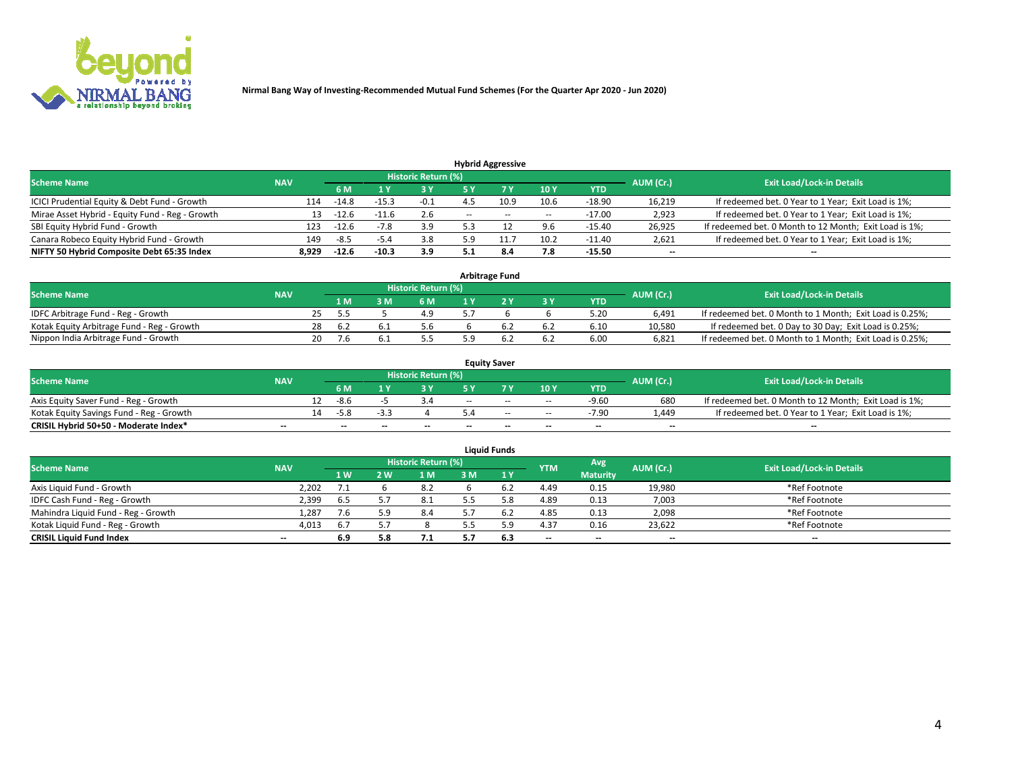

| <b>Hybrid Aggressive</b>                        |            |                                  |         |        |       |       |                          |          |                          |                                                        |  |  |  |
|-------------------------------------------------|------------|----------------------------------|---------|--------|-------|-------|--------------------------|----------|--------------------------|--------------------------------------------------------|--|--|--|
| <b>Scheme Name</b>                              | AUM (Cr.)  | <b>Exit Load/Lock-in Details</b> |         |        |       |       |                          |          |                          |                                                        |  |  |  |
|                                                 | <b>NAV</b> | 6 M                              |         | 3 Y    | 5 ۷   |       | 10Y                      | YTD      |                          |                                                        |  |  |  |
| ICICI Prudential Equity & Debt Fund - Growth    | 114        | $-14.8$                          | $-15.3$ | $-0.1$ |       | 10.9  | 10.6                     | $-18.90$ | 16,219                   | If redeemed bet. 0 Year to 1 Year; Exit Load is 1%;    |  |  |  |
| Mirae Asset Hybrid - Equity Fund - Reg - Growth | 13         | $-12.6$                          |         | 2.6    | $- -$ | $- -$ | $\overline{\phantom{a}}$ | $-17.00$ | 2,923                    | If redeemed bet. 0 Year to 1 Year; Exit Load is 1%;    |  |  |  |
| SBI Equity Hybrid Fund - Growth                 | 123        | $-12.6$                          | $-7.8$  | 3.9    |       |       | 9.6                      | $-15.40$ | 26,925                   | If redeemed bet. 0 Month to 12 Month; Exit Load is 1%; |  |  |  |
| Canara Robeco Equity Hybrid Fund - Growth       | 149        | -8.5                             | -5.4    | 3.8    |       |       | 10.2                     | $-11.40$ | 2,621                    | If redeemed bet. 0 Year to 1 Year; Exit Load is 1%;    |  |  |  |
| NIFTY 50 Hybrid Composite Debt 65:35 Index      | 8,929      | $-12.6$                          | $-10.3$ | 3.9    | . .   | 8.4   | 7.8                      | $-15.50$ | $\overline{\phantom{a}}$ | --                                                     |  |  |  |

| <b>Arbitrage Fund</b>                      |            |    |     |  |                     |  |  |     |            |           |                                                          |  |  |
|--------------------------------------------|------------|----|-----|--|---------------------|--|--|-----|------------|-----------|----------------------------------------------------------|--|--|
| <b>Scheme Name</b>                         | <b>NAV</b> |    |     |  | Historic Return (%) |  |  |     |            | AUM (Cr.) | <b>Exit Load/Lock-in Details</b>                         |  |  |
|                                            |            |    | 1 M |  | 6 M                 |  |  | 3 Y | <b>YTD</b> |           |                                                          |  |  |
| IDFC Arbitrage Fund - Reg - Growth         |            |    | -55 |  | 49                  |  |  |     | 5.20       | 6.491     | If redeemed bet. 0 Month to 1 Month; Exit Load is 0.25%; |  |  |
| Kotak Equity Arbitrage Fund - Reg - Growth |            | 28 | 6.2 |  | 5.6                 |  |  | 6.2 | 6.10       | 10.580    | If redeemed bet. 0 Day to 30 Day; Exit Load is 0.25%;    |  |  |
| Nippon India Arbitrage Fund - Growth       |            | 20 |     |  | 5.5                 |  |  | 6.2 | 6.00       | 6.821     | If redeemed bet. 0 Month to 1 Month; Exit Load is 0.25%; |  |  |

| <b>Equity Saver</b>                      |            |    |                          |                          |                     |        |       |                          |                          |           |                                                        |  |  |  |
|------------------------------------------|------------|----|--------------------------|--------------------------|---------------------|--------|-------|--------------------------|--------------------------|-----------|--------------------------------------------------------|--|--|--|
| <b>Scheme Name</b>                       | <b>NAV</b> |    |                          |                          | Historic Return (%) |        |       |                          |                          | AUM (Cr.) | <b>Exit Load/Lock-in Details</b>                       |  |  |  |
|                                          |            |    | 6 M                      |                          |                     | E V    |       | 10Y                      | <b>YTD</b>               |           |                                                        |  |  |  |
| Axis Equity Saver Fund - Reg - Growth    |            |    | -8.6                     |                          |                     | $-$    | $-$   | $\sim$                   | $-9.60$                  | 680       | If redeemed bet. 0 Month to 12 Month; Exit Load is 1%; |  |  |  |
| Kotak Equity Savings Fund - Reg - Growth |            | 14 | -5.X                     |                          |                     |        | $-$   | $\sim$                   | $-7.90$                  | 1.449     | If redeemed bet. 0 Year to 1 Year; Exit Load is 1%;    |  |  |  |
| CRISIL Hybrid 50+50 - Moderate Index*    | $- -$      |    | $\overline{\phantom{a}}$ | $\overline{\phantom{a}}$ | $- -$               | $\sim$ | $- -$ | $\overline{\phantom{a}}$ | $\overline{\phantom{a}}$ | $- -$     | --                                                     |  |  |  |

| <b>Liquid Funds</b>                 |            |           |       |                            |    |     |                          |                          |           |                                  |  |  |  |  |
|-------------------------------------|------------|-----------|-------|----------------------------|----|-----|--------------------------|--------------------------|-----------|----------------------------------|--|--|--|--|
| <b>Scheme Name</b>                  | <b>NAV</b> |           |       | <b>Historic Return (%)</b> |    |     | <b>YTM</b>               | Avg                      | AUM (Cr.) | <b>Exit Load/Lock-in Details</b> |  |  |  |  |
|                                     |            | <b>1W</b> | ואי י | 1 M                        | ៵៳ | 1 Y |                          | <b>Maturity</b>          |           |                                  |  |  |  |  |
| Axis Liquid Fund - Growth           | 2.202      |           |       | 8.2                        |    | 6.2 | 4.49                     | 0.15                     | 19,980    | *Ref Footnote                    |  |  |  |  |
| IDFC Cash Fund - Reg - Growth       | 2,399      | 6.5       |       | -8.1                       |    |     | 4.89                     | 0.13                     | 7,003     | *Ref Footnote                    |  |  |  |  |
| Mahindra Liquid Fund - Reg - Growth | 1,287      |           |       | 8.4                        |    | 6.2 | 4.85                     | 0.13                     | 2,098     | *Ref Footnote                    |  |  |  |  |
| Kotak Liguid Fund - Reg - Growth    | 4,013      | 6.7       |       |                            |    | 50  | 4.37                     | 0.16                     | 23,622    | *Ref Footnote                    |  |  |  |  |
| <b>CRISIL Liquid Fund Index</b>     | $- -$      | 6.9       |       | 7.1                        |    | 6.3 | $\overline{\phantom{a}}$ | $\overline{\phantom{a}}$ | $- -$     | $- -$                            |  |  |  |  |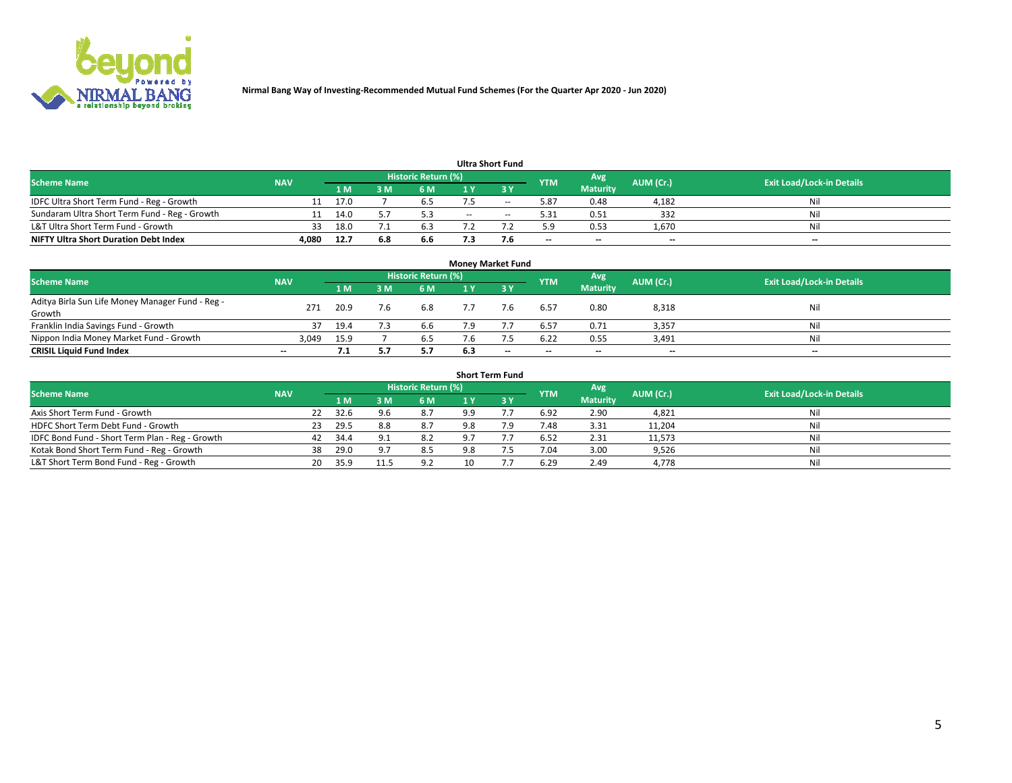

|                                               |            |      |     |                            |     | <b>Ultra Short Fund</b> |                          |                          |                          |                                  |
|-----------------------------------------------|------------|------|-----|----------------------------|-----|-------------------------|--------------------------|--------------------------|--------------------------|----------------------------------|
| <b>Scheme Name</b>                            | <b>NAV</b> |      |     | <b>Historic Return (%)</b> |     |                         | <b>YTM</b>               | Avg                      | AUM (Cr.)                | <b>Exit Load/Lock-in Details</b> |
|                                               |            | 1 M  |     | 6 M                        |     | י כ                     |                          | <b>Maturity</b>          |                          |                                  |
| IDFC Ultra Short Term Fund - Reg - Growth     |            | 17.0 |     | 6.S                        |     | $- -$                   | 5.87                     | 0.48                     | 4,182                    | Nil                              |
| Sundaram Ultra Short Term Fund - Reg - Growth |            | 14.0 |     |                            | $-$ | $\sim$                  | 5.31                     | 0.51                     | 332                      | Nil                              |
| L&T Ultra Short Term Fund - Growth            | 33         | 18.0 |     | 6.3                        |     |                         | 5.9                      | 0.53                     | 1,670                    | Nil                              |
| <b>NIFTY Ultra Short Duration Debt Index</b>  | 4,080      | 12.7 | 6.8 | 6.6                        |     |                         | $\overline{\phantom{a}}$ | $\overline{\phantom{a}}$ | $\overline{\phantom{a}}$ | $- -$                            |

| <b>Money Market Fund</b>                         |            |      |     |                            |     |                          |                          |                 |           |                                  |  |  |  |  |
|--------------------------------------------------|------------|------|-----|----------------------------|-----|--------------------------|--------------------------|-----------------|-----------|----------------------------------|--|--|--|--|
| <b>Scheme Name</b>                               | <b>NAV</b> |      |     | <b>Historic Return (%)</b> |     |                          | <b>YTM</b>               | Avg             | AUM (Cr.) | <b>Exit Load/Lock-in Details</b> |  |  |  |  |
|                                                  |            | 1 M  | ١M  | 6 M                        |     | 3 Y                      |                          | <b>Maturity</b> |           |                                  |  |  |  |  |
| Aditya Birla Sun Life Money Manager Fund - Reg - | 271        | 20.9 | 7.6 | 6.8                        |     |                          | 6.57                     | 0.80            | 8,318     | Nil                              |  |  |  |  |
| Growth                                           |            |      |     |                            |     |                          |                          |                 |           |                                  |  |  |  |  |
| Franklin India Savings Fund - Growth             | 37         | 19.4 |     | 6.b                        |     |                          | 6.57                     | 0.71            | 3,357     | Nil                              |  |  |  |  |
| Nippon India Money Market Fund - Growth          | 3,049      | 15.9 |     | 6.5                        |     |                          | 6.22                     | 0.55            | 3,491     | Nil                              |  |  |  |  |
| <b>CRISIL Liquid Fund Index</b>                  | $- -$      | 7.1  |     | 5.7                        | 6.3 | $\overline{\phantom{a}}$ | $\overline{\phantom{a}}$ | $- -$           | $- -$     | $-$                              |  |  |  |  |

| <b>Short Term Fund</b>                          |            |    |      |                |                     |     |             |            |                 |           |                                  |  |  |
|-------------------------------------------------|------------|----|------|----------------|---------------------|-----|-------------|------------|-----------------|-----------|----------------------------------|--|--|
| <b>Scheme Name</b>                              | <b>NAV</b> |    |      |                | Historic Return (%) |     |             | <b>YTM</b> | Avg             | AUM (Cr.) | <b>Exit Load/Lock-in Details</b> |  |  |
|                                                 |            |    | 1 M. | 3 M            | 6 M                 | 1 Y | <b>23 V</b> |            | <b>Maturity</b> |           |                                  |  |  |
| Axis Short Term Fund - Growth                   |            | 22 | 32.6 | 9.6            | 8.7                 | 9.9 |             | 6.92       | 2.90            | 4,821     | Nil                              |  |  |
| HDFC Short Term Debt Fund - Growth              |            | 23 | 29.5 | 8.8            | 8.7                 | 9.8 | 7.9         | 7.48       | 3.31            | 11,204    | Nil                              |  |  |
| IDFC Bond Fund - Short Term Plan - Reg - Growth |            | 42 | 34.4 | Q <sub>1</sub> | 8.2                 | 9 7 |             | 6.52       | 2.31            | 11,573    | Nil                              |  |  |
| Kotak Bond Short Term Fund - Reg - Growth       |            | 38 | 29.0 | 9.7            | 8.5                 | 9.8 |             | 7.04       | 3.00            | 9,526     | Nil                              |  |  |
| L&T Short Term Bond Fund - Reg - Growth         |            | 20 | 35.9 | 11.5           | 9.2                 | 10  |             | 6.29       | 2.49            | 4,778     | Nil                              |  |  |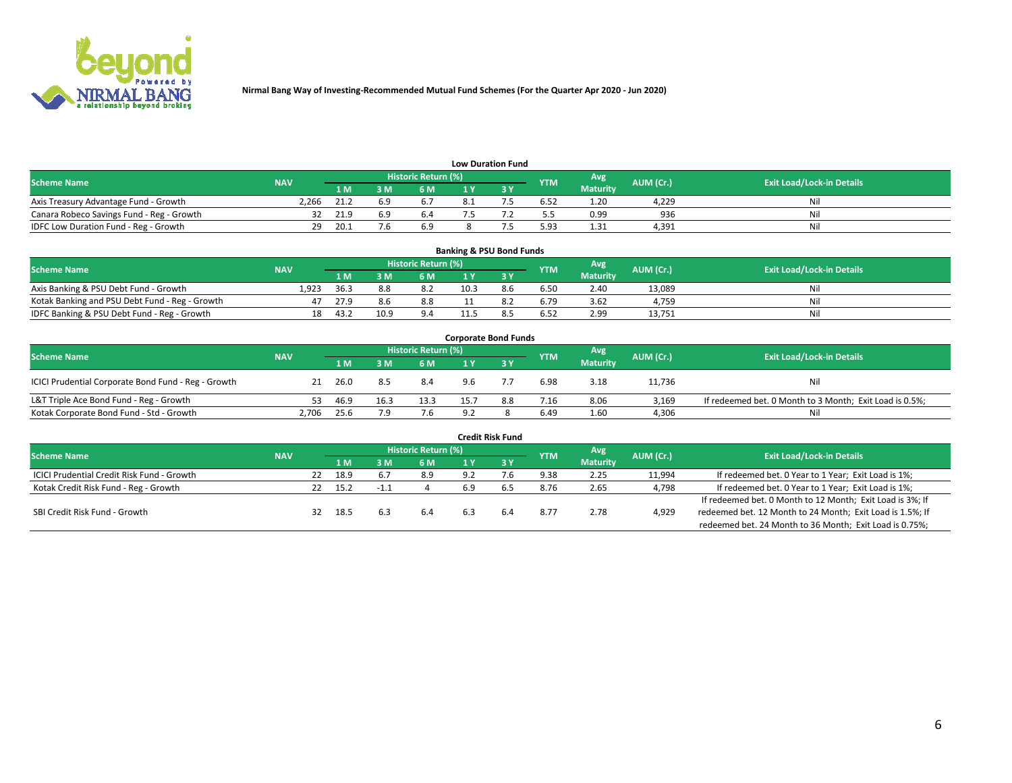

| <b>Low Duration Fund</b>                  |            |      |      |                     |  |  |            |                 |           |                                  |  |  |  |  |
|-------------------------------------------|------------|------|------|---------------------|--|--|------------|-----------------|-----------|----------------------------------|--|--|--|--|
| <b>Scheme Name</b>                        | <b>NAV</b> |      |      | Historic Return (%) |  |  | <b>YTM</b> | Avg             | AUM (Cr.) | <b>Exit Load/Lock-in Details</b> |  |  |  |  |
|                                           |            | 1 M  | RMN. | 6 M                 |  |  |            | <b>Maturity</b> |           |                                  |  |  |  |  |
| Axis Treasury Advantage Fund - Growth     | 2.266      | 21.  | 6.9  |                     |  |  | 6.52       | 1.20            | 4.229     | Nil                              |  |  |  |  |
| Canara Robeco Savings Fund - Reg - Growth |            | 21.9 | 6.9  | 6.4                 |  |  | 5.5        | 0.99            | 936       | Nil                              |  |  |  |  |
| IDFC Low Duration Fund - Reg - Growth     | 29         | -20. |      | 6.9                 |  |  | 5.93       | 1.31            | 4,391     | Nil                              |  |  |  |  |

| <b>Banking &amp; PSU Bond Funds</b>            |            |      |     |                            |      |     |            |                 |           |                                  |  |  |  |  |
|------------------------------------------------|------------|------|-----|----------------------------|------|-----|------------|-----------------|-----------|----------------------------------|--|--|--|--|
| <b>Scheme Name</b>                             | <b>NAV</b> |      |     | <b>Historic Return (%)</b> |      |     | <b>YTM</b> | Avg             | AUM (Cr.) | <b>Exit Load/Lock-in Details</b> |  |  |  |  |
|                                                |            | 1 M  | M   | 6 M                        |      |     |            | <b>Maturity</b> |           |                                  |  |  |  |  |
| Axis Banking & PSU Debt Fund - Growth          | 1.923      | 36.3 | 8.8 | 8.2                        | 10.3 | 8.6 | 6.50       | 2.40            | 13.089    | Nil                              |  |  |  |  |
| Kotak Banking and PSU Debt Fund - Reg - Growth | 47         | 27.9 | 8.6 | 8.8                        |      | 8.2 | 6.79       | 3.62            | 4.759     | Nil                              |  |  |  |  |
| IDFC Banking & PSU Debt Fund - Reg - Growth    | 18         | 43.2 |     | 9.4                        |      | 8.L | 6.52       | 2.99            | 13,751    | Nil                              |  |  |  |  |

| <b>Corporate Bond Funds</b>                         |            |      |      |                     |     |     |            |                 |           |                                                         |  |  |  |  |
|-----------------------------------------------------|------------|------|------|---------------------|-----|-----|------------|-----------------|-----------|---------------------------------------------------------|--|--|--|--|
| <b>Scheme Name</b>                                  | <b>NAV</b> |      |      | Historic Return (%) |     |     | <b>YTM</b> | Avg             | AUM (Cr.) | <b>Exit Load/Lock-in Details</b>                        |  |  |  |  |
|                                                     |            | 1 M. | 3 M  | 6 M                 |     |     |            | <b>Maturity</b> |           |                                                         |  |  |  |  |
| ICICI Prudential Corporate Bond Fund - Reg - Growth | 21         | 26.0 | 8.5  | 8.4                 | 9.6 |     | 6.98       | 3.18            | 11,736    | Nil                                                     |  |  |  |  |
| L&T Triple Ace Bond Fund - Reg - Growth             | 53.        | 46.9 | 16.3 | 13.3                | 15. | 8.8 | 7.16       | 8.06            | 3.169     | If redeemed bet. 0 Month to 3 Month; Exit Load is 0.5%; |  |  |  |  |
| Kotak Corporate Bond Fund - Std - Growth            | 2.706      | 25.6 | 7.9  | 7.6                 | 9.2 |     | 6.49       | 1.60            | 4,306     | Nil                                                     |  |  |  |  |

| <b>Credit Risk Fund</b>                           |            |    |      |      |                     |     |           |            |                 |           |                                                           |  |  |
|---------------------------------------------------|------------|----|------|------|---------------------|-----|-----------|------------|-----------------|-----------|-----------------------------------------------------------|--|--|
| <b>Scheme Name</b>                                | <b>NAV</b> |    |      |      | Historic Return (%) |     |           | <b>YTM</b> | Avg             | AUM (Cr.) | <b>Exit Load/Lock-in Details</b>                          |  |  |
|                                                   |            |    | 1 M  | : M  | 6 M                 |     | <b>3Y</b> |            | <b>Maturity</b> |           |                                                           |  |  |
| <b>ICICI Prudential Credit Risk Fund - Growth</b> |            | 22 | 18.9 | 6.7  | 8.9                 | 9.2 |           | 9.38       | 2.25            | 11,994    | If redeemed bet. 0 Year to 1 Year; Exit Load is 1%;       |  |  |
| Kotak Credit Risk Fund - Reg - Growth             |            |    | 15.2 | - 11 |                     | 6.9 |           | 8.76       | 2.65            | 4,798     | If redeemed bet. 0 Year to 1 Year; Exit Load is 1%;       |  |  |
|                                                   |            |    |      |      |                     |     |           |            |                 |           | If redeemed bet. 0 Month to 12 Month; Exit Load is 3%; If |  |  |
| SBI Credit Risk Fund - Growth                     |            | 32 | 18.5 | 6.3  | 6.4                 | 6.3 | 6.4       | 8.77       | 2.78            | 4,929     | redeemed bet. 12 Month to 24 Month; Exit Load is 1.5%; If |  |  |
|                                                   |            |    |      |      |                     |     |           |            |                 |           | redeemed bet. 24 Month to 36 Month; Exit Load is 0.75%;   |  |  |